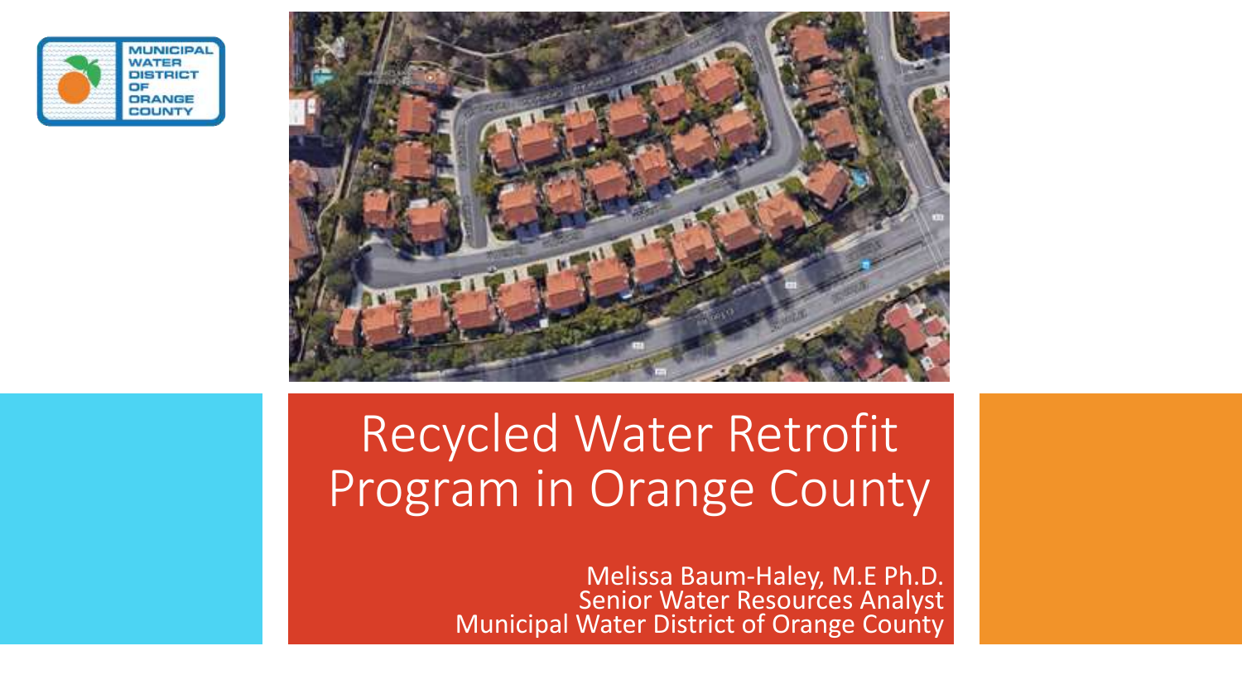



#### CIEU WALER KELFOIIL Recycled Water Retrofit Program in Orange County

Melissa Baum-Haley, M.E Ph.D. Senior Water Resources Analyst Municipal Water District of Orange County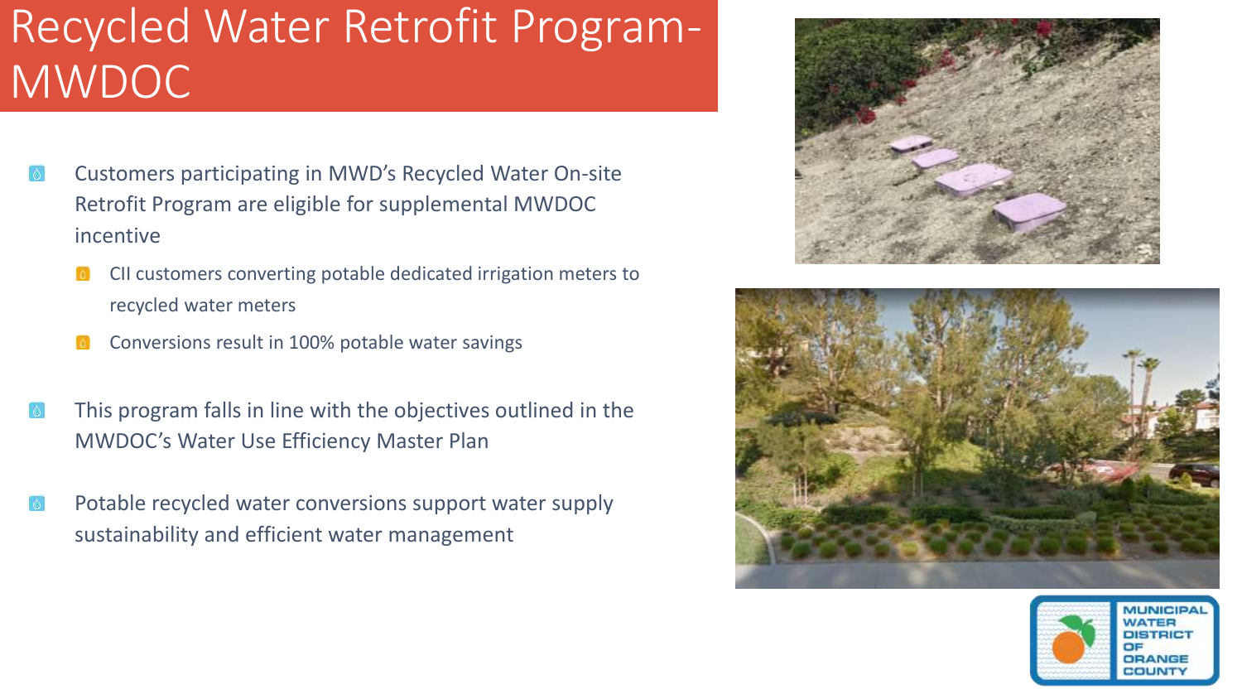#### Recycled Water Retrofit Program-**MWDOC**

- Customers participating in MWD's Recycled Water On-site Retrofit Program are eligible for supplemental MWDOC incentive
	- CII customers converting potable dedicated irrigation meters to recycled water meters
	- Conversions result in 100% potable water savings
- This program falls in line with the objectives outlined in the MWDOC's Water Use Efficiency Master Plan
- Potable recycled water conversions support water supply sustainability and efficient water management





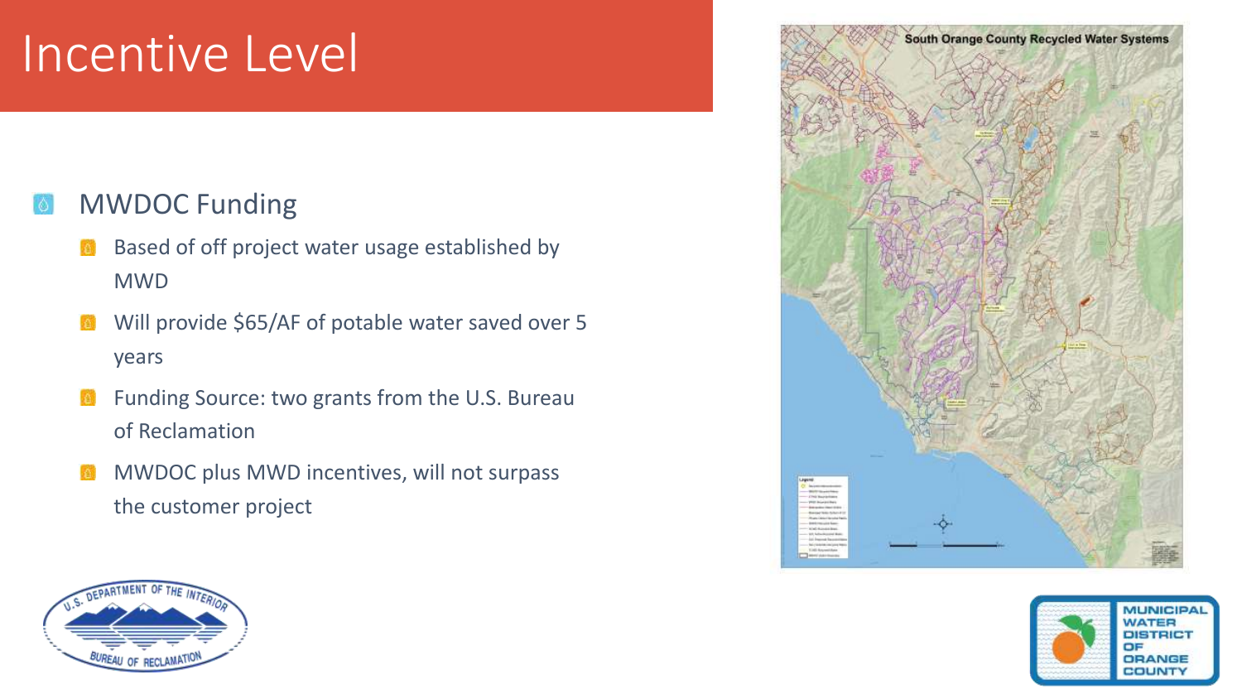## Incentive Level

#### MWDOC Funding  $|\lozenge|$

- Based of off project water usage established by MWD
- Will provide \$65/AF of potable water saved over 5 years
- Funding Source: two grants from the U.S. Bureau  $\Delta$ of Reclamation
- MWDOC plus MWD incentives, will not surpass **A** the customer project





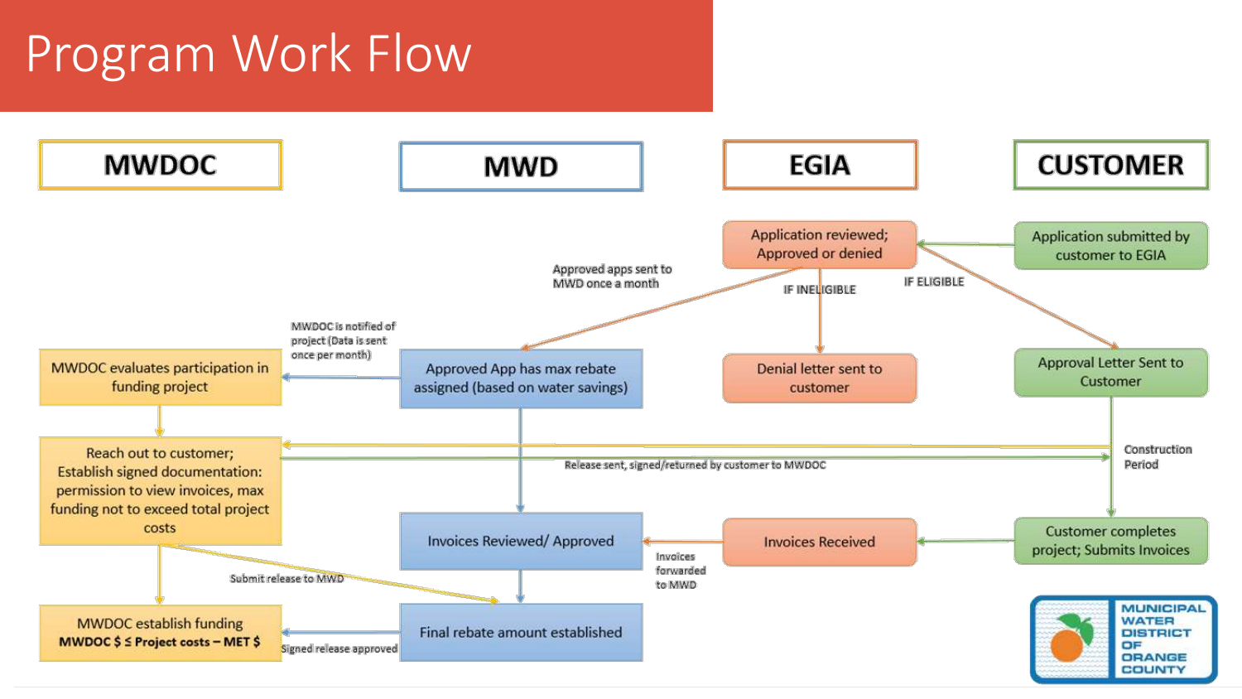## Program Work Flow

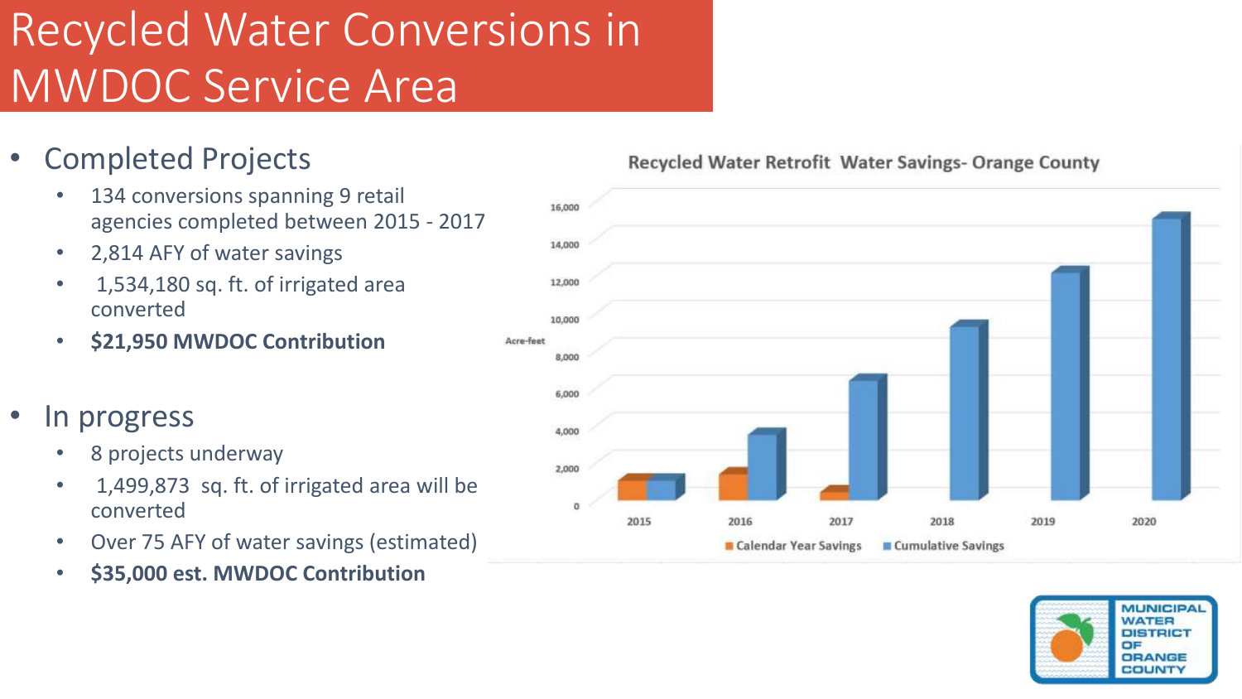## Recycled Water Conversions in MWDOC Service Area

- Completed Projects
	- 134 conversions spanning 9 retail agencies completed between 2015 - 2017
	- 2,814 AFY of water savings
	- 1,534,180 sq. ft. of irrigated area converted
	- **\$21,950 MWDOC Contribution**
- In progress
	- 8 projects underway
	- 1,499,873 sq. ft. of irrigated area will be converted
	- Over 75 AFY of water savings (estimated)
	- **\$35,000 est. MWDOC Contribution**

Recycled Water Retrofit Water Savings- Orange County



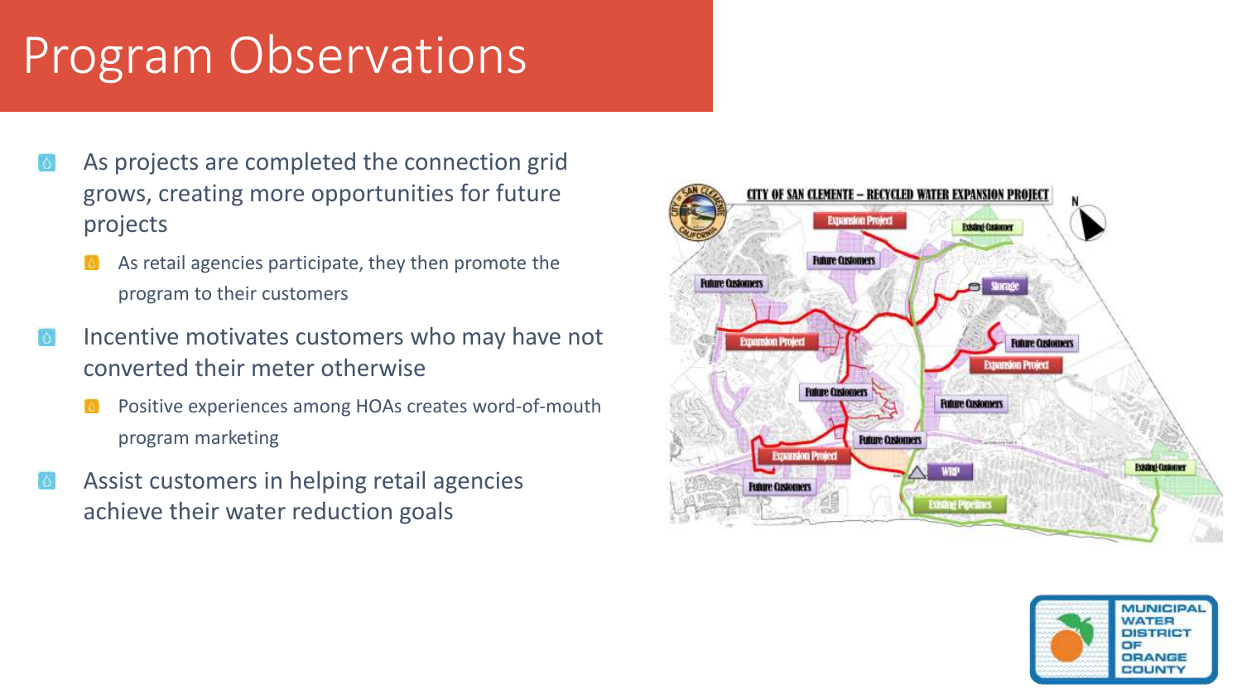# Program Observations

- As projects are completed the connection grid grows, creating more opportunities for future projects
	- As retail agencies participate, they then promote the program to their customers
- Incentive motivates customers who may have not converted their meter otherwise
	- Positive experiences among HOAs creates word-of-mouth program marketing
- Assist customers in helping retail agencies achieve their water reduction goals